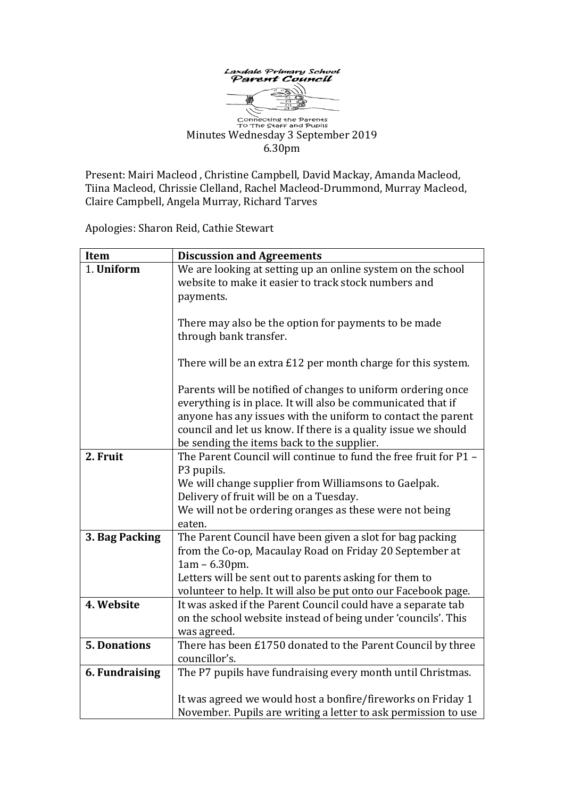

**Connecting the Parents**<br>To The Staff and Pupils Minutes Wednesday 3 September 2019 6.30pm

Present: Mairi Macleod , Christine Campbell, David Mackay, Amanda Macleod, Tiina Macleod, Chrissie Clelland, Rachel Macleod-Drummond, Murray Macleod, Claire Campbell, Angela Murray, Richard Tarves

Apologies: Sharon Reid, Cathie Stewart

| <b>Item</b>         | <b>Discussion and Agreements</b>                                 |
|---------------------|------------------------------------------------------------------|
| 1. Uniform          | We are looking at setting up an online system on the school      |
|                     | website to make it easier to track stock numbers and             |
|                     | payments.                                                        |
|                     |                                                                  |
|                     | There may also be the option for payments to be made             |
|                     | through bank transfer.                                           |
|                     |                                                                  |
|                     | There will be an extra £12 per month charge for this system.     |
|                     | Parents will be notified of changes to uniform ordering once     |
|                     | everything is in place. It will also be communicated that if     |
|                     | anyone has any issues with the uniform to contact the parent     |
|                     | council and let us know. If there is a quality issue we should   |
|                     | be sending the items back to the supplier.                       |
| 2. Fruit            | The Parent Council will continue to fund the free fruit for P1 - |
|                     | P3 pupils.                                                       |
|                     | We will change supplier from Williamsons to Gaelpak.             |
|                     | Delivery of fruit will be on a Tuesday.                          |
|                     | We will not be ordering oranges as these were not being          |
|                     | eaten.                                                           |
| 3. Bag Packing      | The Parent Council have been given a slot for bag packing        |
|                     | from the Co-op, Macaulay Road on Friday 20 September at          |
|                     | $1am - 6.30pm.$                                                  |
|                     | Letters will be sent out to parents asking for them to           |
|                     | volunteer to help. It will also be put onto our Facebook page.   |
| 4. Website          | It was asked if the Parent Council could have a separate tab     |
|                     | on the school website instead of being under 'councils'. This    |
|                     | was agreed.                                                      |
| <b>5. Donations</b> | There has been £1750 donated to the Parent Council by three      |
|                     | councillor's.                                                    |
| 6. Fundraising      | The P7 pupils have fundraising every month until Christmas.      |
|                     | It was agreed we would host a bonfire/fireworks on Friday 1      |
|                     | November. Pupils are writing a letter to ask permission to use   |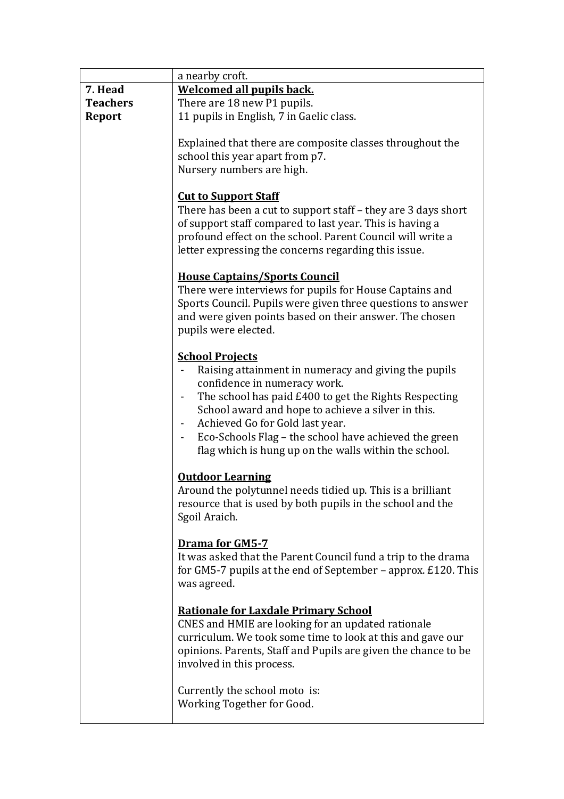|                 | a nearby croft.                                                                                                                                                                                                                                                                                                                                                                              |
|-----------------|----------------------------------------------------------------------------------------------------------------------------------------------------------------------------------------------------------------------------------------------------------------------------------------------------------------------------------------------------------------------------------------------|
| 7. Head         | <b>Welcomed all pupils back.</b>                                                                                                                                                                                                                                                                                                                                                             |
| <b>Teachers</b> | There are 18 new P1 pupils.                                                                                                                                                                                                                                                                                                                                                                  |
| Report          | 11 pupils in English, 7 in Gaelic class.                                                                                                                                                                                                                                                                                                                                                     |
|                 | Explained that there are composite classes throughout the<br>school this year apart from p7.<br>Nursery numbers are high.                                                                                                                                                                                                                                                                    |
|                 | <b>Cut to Support Staff</b><br>There has been a cut to support staff - they are 3 days short<br>of support staff compared to last year. This is having a<br>profound effect on the school. Parent Council will write a<br>letter expressing the concerns regarding this issue.                                                                                                               |
|                 | <b>House Captains/Sports Council</b><br>There were interviews for pupils for House Captains and<br>Sports Council. Pupils were given three questions to answer<br>and were given points based on their answer. The chosen<br>pupils were elected.                                                                                                                                            |
|                 | <b>School Projects</b><br>Raising attainment in numeracy and giving the pupils<br>confidence in numeracy work.<br>The school has paid £400 to get the Rights Respecting<br>School award and hope to achieve a silver in this.<br>Achieved Go for Gold last year.<br>$\sim$<br>Eco-Schools Flag - the school have achieved the green<br>flag which is hung up on the walls within the school. |
|                 | <b>Outdoor Learning</b><br>Around the polytunnel needs tidied up. This is a brilliant<br>resource that is used by both pupils in the school and the<br>Sgoil Araich.                                                                                                                                                                                                                         |
|                 | <b>Drama for GM5-7</b><br>It was asked that the Parent Council fund a trip to the drama<br>for GM5-7 pupils at the end of September – approx. £120. This<br>was agreed.                                                                                                                                                                                                                      |
|                 | <b>Rationale for Laxdale Primary School</b><br>CNES and HMIE are looking for an updated rationale<br>curriculum. We took some time to look at this and gave our<br>opinions. Parents, Staff and Pupils are given the chance to be<br>involved in this process.                                                                                                                               |
|                 | Currently the school moto is:<br>Working Together for Good.                                                                                                                                                                                                                                                                                                                                  |